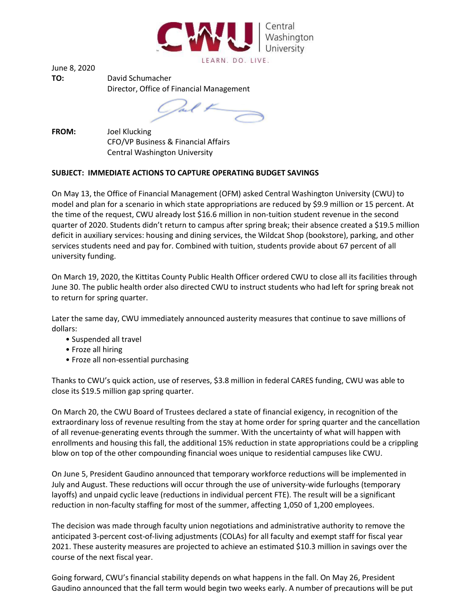

June 8, 2020

**TO:** David Schumacher Director, Office of Financial Management

Cal F

**FROM:** Joel Klucking CFO/VP Business & Financial Affairs Central Washington University

## **SUBJECT: IMMEDIATE ACTIONS TO CAPTURE OPERATING BUDGET SAVINGS**

On May 13, the Office of Financial Management (OFM) asked Central Washington University (CWU) to model and plan for a scenario in which state appropriations are reduced by \$9.9 million or 15 percent. At the time of the request, CWU already lost \$16.6 million in non-tuition student revenue in the second quarter of 2020. Students didn't return to campus after spring break; their absence created a \$19.5 million deficit in auxiliary services: housing and dining services, the Wildcat Shop (bookstore), parking, and other services students need and pay for. Combined with tuition, students provide about 67 percent of all university funding.

On March 19, 2020, the Kittitas County Public Health Officer ordered CWU to close all its facilities through June 30. The public health order also directed CWU to instruct students who had left for spring break not to return for spring quarter.

Later the same day, CWU immediately announced austerity measures that continue to save millions of dollars:

- Suspended all travel
- Froze all hiring
- Froze all non-essential purchasing

Thanks to CWU's quick action, use of reserves, \$3.8 million in federal CARES funding, CWU was able to close its \$19.5 million gap spring quarter.

On March 20, the CWU Board of Trustees declared a state of financial exigency, in recognition of the extraordinary loss of revenue resulting from the stay at home order for spring quarter and the cancellation of all revenue-generating events through the summer. With the uncertainty of what will happen with enrollments and housing this fall, the additional 15% reduction in state appropriations could be a crippling blow on top of the other compounding financial woes unique to residential campuses like CWU.

On June 5, President Gaudino announced that temporary workforce reductions will be implemented in July and August. These reductions will occur through the use of university-wide furloughs (temporary layoffs) and unpaid cyclic leave (reductions in individual percent FTE). The result will be a significant reduction in non-faculty staffing for most of the summer, affecting 1,050 of 1,200 employees.

The decision was made through faculty union negotiations and administrative authority to remove the anticipated 3-percent cost-of-living adjustments (COLAs) for all faculty and exempt staff for fiscal year 2021. These austerity measures are projected to achieve an estimated \$10.3 million in savings over the course of the next fiscal year.

Going forward, CWU's financial stability depends on what happens in the fall. On May 26, President Gaudino announced that the fall term would begin two weeks early. A number of precautions will be put